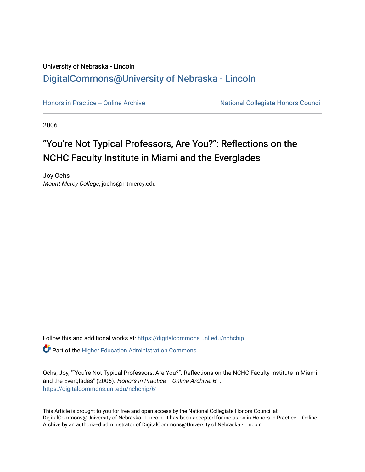## University of Nebraska - Lincoln [DigitalCommons@University of Nebraska - Lincoln](https://digitalcommons.unl.edu/)

[Honors in Practice -- Online Archive](https://digitalcommons.unl.edu/nchchip) National Collegiate Honors Council

2006

## "You're Not Typical Professors, Are You?": Reflections on the NCHC Faculty Institute in Miami and the Everglades

Joy Ochs Mount Mercy College, jochs@mtmercy.edu

Follow this and additional works at: [https://digitalcommons.unl.edu/nchchip](https://digitalcommons.unl.edu/nchchip?utm_source=digitalcommons.unl.edu%2Fnchchip%2F61&utm_medium=PDF&utm_campaign=PDFCoverPages) 

**C** Part of the Higher Education Administration Commons

Ochs, Joy, ""You're Not Typical Professors, Are You?": Reflections on the NCHC Faculty Institute in Miami and the Everglades" (2006). Honors in Practice -- Online Archive. 61. [https://digitalcommons.unl.edu/nchchip/61](https://digitalcommons.unl.edu/nchchip/61?utm_source=digitalcommons.unl.edu%2Fnchchip%2F61&utm_medium=PDF&utm_campaign=PDFCoverPages) 

This Article is brought to you for free and open access by the National Collegiate Honors Council at DigitalCommons@University of Nebraska - Lincoln. It has been accepted for inclusion in Honors in Practice -- Online Archive by an authorized administrator of DigitalCommons@University of Nebraska - Lincoln.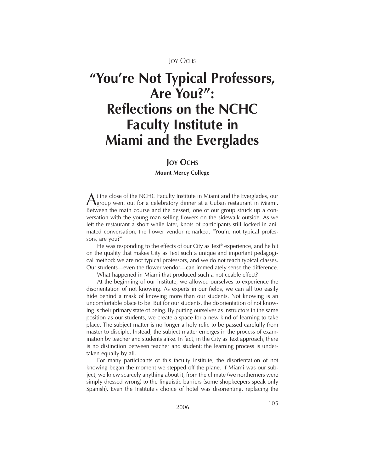**JOY OCHS** 

# **"You're Not Typical Professors, Are You?": Reflections on the NCHC Faculty Institute in Miami and the Everglades**

### **JOY OCHS**

**Mount Mercy College**

A t the close of the NCHC Faculty Institute in Miami and the Everglades, our<br>Agroup went out for a celebratory dinner at a Cuban restaurant in Miami. Between the main course and the dessert, one of our group struck up a conversation with the young man selling flowers on the sidewalk outside. As we left the restaurant a short while later, knots of participants still locked in animated conversation, the flower vendor remarked, "You're not typical professors, are you?"

He was responding to the effects of our City as Text<sup>®</sup> experience, and he hit on the quality that makes City as Text such a unique and important pedagogical method: we are not typical professors, and we do not teach typical classes. Our students—even the flower vendor—can immediately sense the difference.

What happened in Miami that produced such a noticeable effect?

At the beginning of our institute, we allowed ourselves to experience the disorientation of not knowing. As experts in our fields, we can all too easily hide behind a mask of knowing more than our students. Not knowing is an uncomfortable place to be. But for our students, the disorientation of not knowing is their primary state of being. By putting ourselves as instructors in the same position as our students, we create a space for a new kind of learning to take place. The subject matter is no longer a holy relic to be passed carefully from master to disciple. Instead, the subject matter emerges in the process of examination by teacher and students alike. In fact, in the City as Text approach, there is no distinction between teacher and student: the learning process is undertaken equally by all.

For many participants of this faculty institute, the disorientation of not knowing began the moment we stepped off the plane. If Miami was our subject, we knew scarcely anything about it, from the climate (we northerners were simply dressed wrong) to the linguistic barriers (some shopkeepers speak only Spanish). Even the Institute's choice of hotel was disorienting, replacing the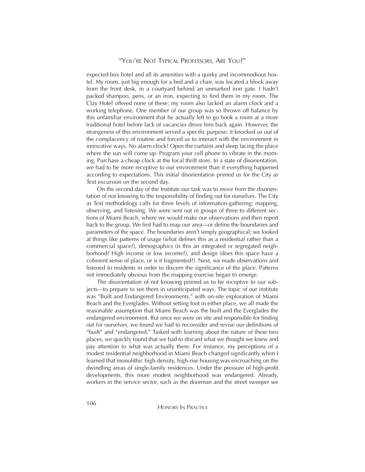expected box hotel and all its amenities with a quirky and incommodious hostel. My room, just big enough for a bed and a chair, was located a block away from the front desk, in a courtyard behind an unmarked iron gate. I hadn't packed shampoo, pens, or an iron, expecting to find them in my room. The Clay Hotel offered none of these; my room also lacked an alarm clock and a working telephone. One member of our group was so thrown off balance by this unfamiliar environment that he actually left to go book a room at a more traditional hotel before lack of vacancies drove him back again. However, the strangeness of this environment served a specific purpose: it knocked us out of the complacency of routine and forced us to interact with the environment in innovative ways. No alarm clock? Open the curtains and sleep facing the place where the sun will come up. Program your cell phone to vibrate in the morning. Purchase a cheap clock at the local thrift store. In a state of disorientation, we had to be more receptive to our environment than if everything happened according to expectations. This initial disorientation primed us for the City as Text excursion on the second day.

On the second day of the Institute our task was to move from the disorientation of not knowing to the responsibility of finding out for ourselves. The City as Text methodology calls for three levels of information-gathering: mapping, observing, and listening. We were sent out in groups of three to different sections of Miami Beach, where we would make our observations and then report back to the group. We first had to map our area—or define the boundaries and parameters of the space. The boundaries aren't simply geographical; we looked at things like patterns of usage (what defines this as a residential rather than a commercial space?), demographics (is this an integrated or segregated neighborhood? High income or low income?), and design (does this space have a coherent sense of place, or is it fragmented?). Next, we made observations and listened to residents in order to discern the significance of the place. Patterns not immediately obvious from the mapping exercise began to emerge.

The disorientation of not knowing primed us to be receptive to our subjects—to prepare to see them in unanticipated ways. The topic of our institute was "Built and Endangered Environments," with on-site exploration of Miami Beach and the Everglades. Without setting foot in either place, we all made the reasonable assumption that Miami Beach was the built and the Everglades the endangered environment. But once we were on site and responsible for finding out for ourselves, we found we had to reconsider and revise our definitions of "built" and "endangered." Tasked with learning about the nature of these two places, we quickly found that we had to discard what we thought we knew and pay attention to what was actually there. For instance, my perceptions of a modest residential neighborhood in Miami Beach changed significantly when I learned that monolithic high-density, high-rise housing was encroaching on the dwindling areas of single-family residences. Under the pressure of high-profit developments, this more modest neighborhood was endangered. Already, workers in the service sector, such as the doorman and the street sweeper we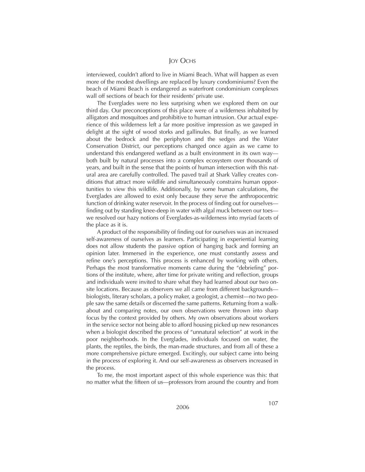#### **JOY OCHS**

interviewed, couldn't afford to live in Miami Beach. What will happen as even more of the modest dwellings are replaced by luxury condominiums? Even the beach of Miami Beach is endangered as waterfront condominium complexes wall off sections of beach for their residents' private use.

The Everglades were no less surprising when we explored them on our third day. Our preconceptions of this place were of a wilderness inhabited by alligators and mosquitoes and prohibitive to human intrusion. Our actual experience of this wilderness left a far more positive impression as we gawped in delight at the sight of wood storks and gallinules. But finally, as we learned about the bedrock and the periphyton and the sedges and the Water Conservation District, our perceptions changed once again as we came to understand this endangered wetland as a built environment in its own way both built by natural processes into a complex ecosystem over thousands of years, and built in the sense that the points of human intersection with this natural area are carefully controlled. The paved trail at Shark Valley creates conditions that attract more wildlife and simultaneously constrains human opportunities to view this wildlife. Additionally, by some human calculations, the Everglades are allowed to exist only because they serve the anthropocentric function of drinking water reservoir. In the process of finding out for ourselves finding out by standing knee-deep in water with algal muck between our toes we resolved our hazy notions of Everglades-as-wilderness into myriad facets of the place as it is.

A product of the responsibility of finding out for ourselves was an increased self-awareness of ourselves as learners. Participating in experiential learning does not allow students the passive option of hanging back and forming an opinion later. Immersed in the experience, one must constantly assess and refine one's perceptions. This process is enhanced by working with others. Perhaps the most transformative moments came during the "debriefing" portions of the institute, where, after time for private writing and reflection, groups and individuals were invited to share what they had learned about our two onsite locations. Because as observers we all came from different backgrounds biologists, literary scholars, a policy maker, a geologist, a chemist—no two people saw the same details or discerned the same patterns. Returning from a walkabout and comparing notes, our own observations were thrown into sharp focus by the context provided by others. My own observations about workers in the service sector not being able to afford housing picked up new resonances when a biologist described the process of "unnatural selection" at work in the poor neighborhoods. In the Everglades, individuals focused on water, the plants, the reptiles, the birds, the man-made structures, and from all of these a more comprehensive picture emerged. Excitingly, our subject came into being in the process of exploring it. And our self-awareness as observers increased in the process.

To me, the most important aspect of this whole experience was this: that no matter what the fifteen of us—professors from around the country and from